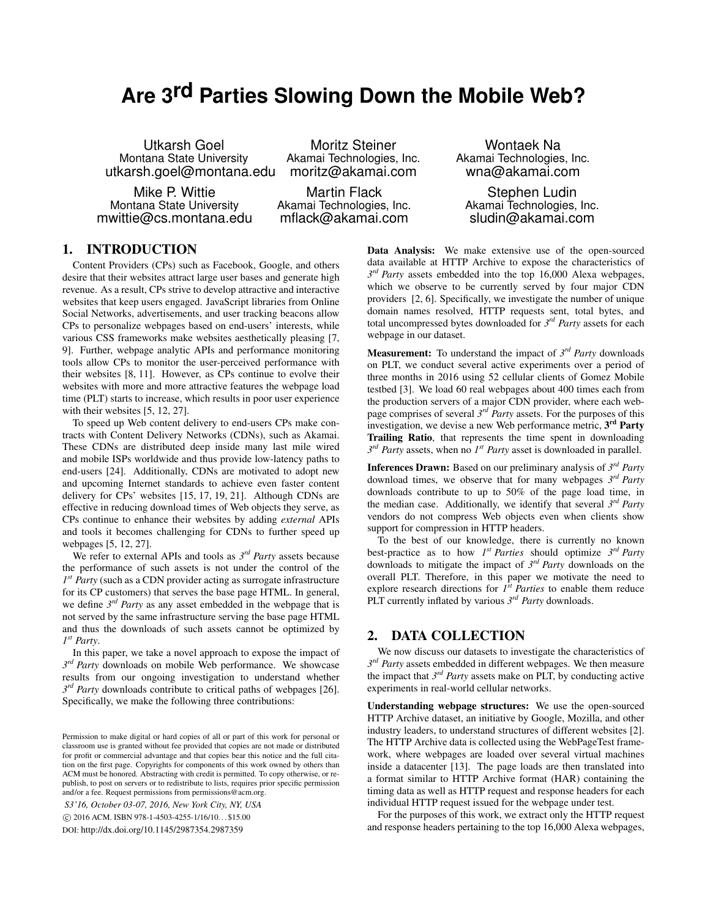# **Are 3rd Parties Slowing Down the Mobile Web?**

Utkarsh Goel Montana State University utkarsh.goel@montana.edu

Mike P. Wittie Montana State University mwittie@cs.montana.edu

Moritz Steiner Akamai Technologies, Inc. moritz@akamai.com

Martin Flack Akamai Technologies, Inc. mflack@akamai.com

Wontaek Na Akamai Technologies, Inc. wna@akamai.com

Stephen Ludin Akamai Technologies, Inc. sludin@akamai.com

# 1. INTRODUCTION

Content Providers (CPs) such as Facebook, Google, and others desire that their websites attract large user bases and generate high revenue. As a result, CPs strive to develop attractive and interactive websites that keep users engaged. JavaScript libraries from Online Social Networks, advertisements, and user tracking beacons allow CPs to personalize webpages based on end-users' interests, while various CSS frameworks make websites aesthetically pleasing [7, 9]. Further, webpage analytic APIs and performance monitoring tools allow CPs to monitor the user-perceived performance with their websites [8, 11]. However, as CPs continue to evolve their websites with more and more attractive features the webpage load time (PLT) starts to increase, which results in poor user experience with their websites [5, 12, 27].

To speed up Web content delivery to end-users CPs make contracts with Content Delivery Networks (CDNs), such as Akamai. These CDNs are distributed deep inside many last mile wired and mobile ISPs worldwide and thus provide low-latency paths to end-users [24]. Additionally, CDNs are motivated to adopt new and upcoming Internet standards to achieve even faster content delivery for CPs' websites [15, 17, 19, 21]. Although CDNs are effective in reducing download times of Web objects they serve, as CPs continue to enhance their websites by adding *external* APIs and tools it becomes challenging for CDNs to further speed up webpages [5, 12, 27].

We refer to external APIs and tools as  $3^{rd}$  *Party* assets because the performance of such assets is not under the control of the *1 st Party* (such as a CDN provider acting as surrogate infrastructure for its CP customers) that serves the base page HTML. In general, we define 3<sup>rd</sup> Party as any asset embedded in the webpage that is not served by the same infrastructure serving the base page HTML and thus the downloads of such assets cannot be optimized by *1 st Party*.

In this paper, we take a novel approach to expose the impact of  $3^{rd}$  *Party* downloads on mobile Web performance. We showcase results from our ongoing investigation to understand whether  $3^{rd}$  *Party* downloads contribute to critical paths of webpages [26]. Specifically, we make the following three contributions:

*S3'16, October 03-07, 2016, New York City, NY, USA* c 2016 ACM. ISBN 978-1-4503-4255-1/16/10. . . \$15.00

DOI: http://dx.doi.org/10.1145/2987354.2987359

Data Analysis: We make extensive use of the open-sourced data available at HTTP Archive to expose the characteristics of  $3^{rd}$  *Party* assets embedded into the top 16,000 Alexa webpages, which we observe to be currently served by four major CDN providers [2, 6]. Specifically, we investigate the number of unique domain names resolved, HTTP requests sent, total bytes, and total uncompressed bytes downloaded for *3 rd Party* assets for each webpage in our dataset.

Measurement: To understand the impact of *3 rd Party* downloads on PLT, we conduct several active experiments over a period of three months in 2016 using 52 cellular clients of Gomez Mobile testbed [3]. We load 60 real webpages about 400 times each from the production servers of a major CDN provider, where each webpage comprises of several *3 rd Party* assets. For the purposes of this investigation, we devise a new Web performance metric, 3<sup>rd</sup> Party Trailing Ratio, that represents the time spent in downloading  $3^{rd}$  *Party* assets, when no  $I^{st}$  *Party* asset is downloaded in parallel.

Inferences Drawn: Based on our preliminary analysis of *3 rd Party* download times, we observe that for many webpages *3 rd Party* downloads contribute to up to 50% of the page load time, in the median case. Additionally, we identify that several *3 rd Party* vendors do not compress Web objects even when clients show support for compression in HTTP headers.

To the best of our knowledge, there is currently no known best-practice as to how  $I^{st}$  *Parties* should optimize  $3^{rd}$  *Party* downloads to mitigate the impact of *3 rd Party* downloads on the overall PLT. Therefore, in this paper we motivate the need to explore research directions for  $I<sup>st</sup>$  *Parties* to enable them reduce PLT currently inflated by various *3 rd Party* downloads.

### 2. DATA COLLECTION

We now discuss our datasets to investigate the characteristics of  $3^{rd}$  *Party* assets embedded in different webpages. We then measure the impact that  $3^{rd}$  *Party* assets make on PLT, by conducting active experiments in real-world cellular networks.

Understanding webpage structures: We use the open-sourced HTTP Archive dataset, an initiative by Google, Mozilla, and other industry leaders, to understand structures of different websites [2]. The HTTP Archive data is collected using the WebPageTest framework, where webpages are loaded over several virtual machines inside a datacenter [13]. The page loads are then translated into a format similar to HTTP Archive format (HAR) containing the timing data as well as HTTP request and response headers for each individual HTTP request issued for the webpage under test.

For the purposes of this work, we extract only the HTTP request and response headers pertaining to the top 16,000 Alexa webpages,

Permission to make digital or hard copies of all or part of this work for personal or classroom use is granted without fee provided that copies are not made or distributed for profit or commercial advantage and that copies bear this notice and the full citation on the first page. Copyrights for components of this work owned by others than ACM must be honored. Abstracting with credit is permitted. To copy otherwise, or republish, to post on servers or to redistribute to lists, requires prior specific permission and/or a fee. Request permissions from permissions@acm.org.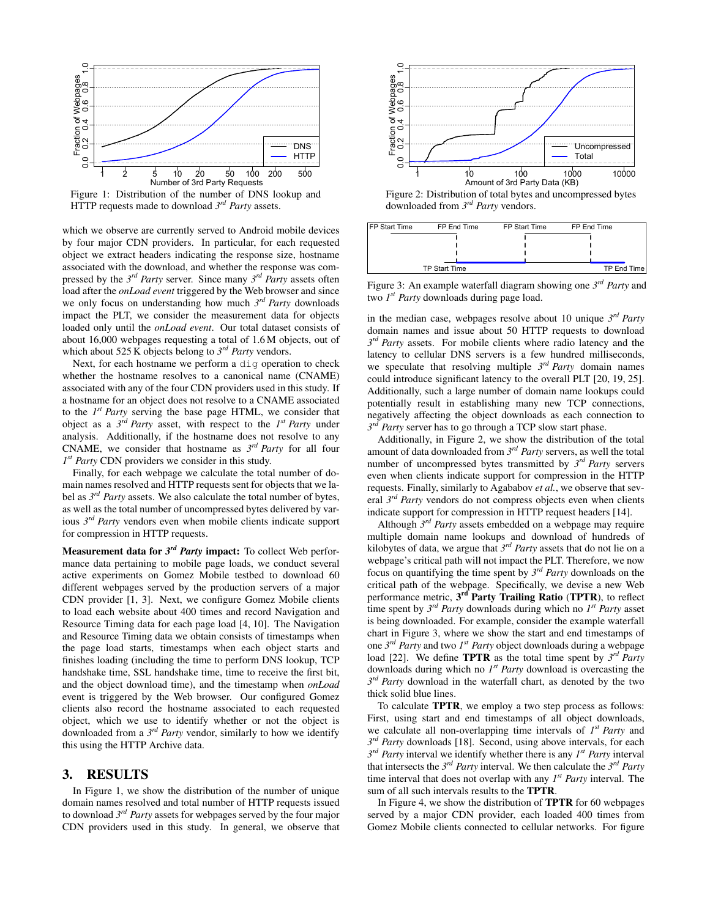

Figure 1: Distribution of the number of DNS lookup and HTTP requests made to download *3 rd Party* assets.

which we observe are currently served to Android mobile devices by four major CDN providers. In particular, for each requested object we extract headers indicating the response size, hostname associated with the download, and whether the response was compressed by the  $3^{rd}$  *Party* server. Since many  $3^{rd}$  *Party* assets often load after the *onLoad event* triggered by the Web browser and since we only focus on understanding how much *3 rd Party* downloads impact the PLT, we consider the measurement data for objects loaded only until the *onLoad event*. Our total dataset consists of about 16,000 webpages requesting a total of 1.6 M objects, out of which about 525 K objects belong to  $3^{rd}$  *Party* vendors.

Next, for each hostname we perform a dig operation to check whether the hostname resolves to a canonical name (CNAME) associated with any of the four CDN providers used in this study. If a hostname for an object does not resolve to a CNAME associated to the *1 st Party* serving the base page HTML, we consider that object as a  $3^{rd}$  *Party* asset, with respect to the  $1^{st}$  *Party* under analysis. Additionally, if the hostname does not resolve to any CNAME, we consider that hostname as  $3<sup>rd</sup>$  *Party* for all four *1 st Party* CDN providers we consider in this study.

Finally, for each webpage we calculate the total number of domain names resolved and HTTP requests sent for objects that we label as  $3<sup>rd</sup>$  *Party* assets. We also calculate the total number of bytes, as well as the total number of uncompressed bytes delivered by various *3 rd Party* vendors even when mobile clients indicate support for compression in HTTP requests.

Measurement data for  $3^{rd}$  *Party* impact: To collect Web performance data pertaining to mobile page loads, we conduct several active experiments on Gomez Mobile testbed to download 60 different webpages served by the production servers of a major CDN provider [1, 3]. Next, we configure Gomez Mobile clients to load each website about 400 times and record Navigation and Resource Timing data for each page load [4, 10]. The Navigation and Resource Timing data we obtain consists of timestamps when the page load starts, timestamps when each object starts and finishes loading (including the time to perform DNS lookup, TCP handshake time, SSL handshake time, time to receive the first bit, and the object download time), and the timestamp when *onLoad* event is triggered by the Web browser. Our configured Gomez clients also record the hostname associated to each requested object, which we use to identify whether or not the object is downloaded from a *3 rd Party* vendor, similarly to how we identify this using the HTTP Archive data. For an extended in the study of the study of the study of the study of the study of the study of the study of the study of the study of the study of the study of the study of the study of the study of the study of the stu

#### 3. RESULTS

In Figure 1, we show the distribution of the number of unique domain names resolved and total number of HTTP requests issued to download *3 rd Party* assets for webpages served by the four major



downloaded from *3 rd Party* vendors.



Figure 3: An example waterfall diagram showing one 3<sup>rd</sup> Party and two *1 st Party* downloads during page load.

in the median case, webpages resolve about 10 unique  $3^{rd}$  *Party* domain names and issue about 50 HTTP requests to download  $3^{rd}$  *Party* assets. For mobile clients where radio latency and the latency to cellular DNS servers is a few hundred milliseconds, we speculate that resolving multiple  $3^{rd}$  *Party* domain names could introduce significant latency to the overall PLT [20, 19, 25]. Additionally, such a large number of domain name lookups could potentially result in establishing many new TCP connections, negatively affecting the object downloads as each connection to *3 rd Party* server has to go through a TCP slow start phase.

Additionally, in Figure 2, we show the distribution of the total amount of data downloaded from *3 rd Party* servers, as well the total number of uncompressed bytes transmitted by  $3^{rd}$  *Party* servers even when clients indicate support for compression in the HTTP requests. Finally, similarly to Agababov *et al.*, we observe that several *3 rd Party* vendors do not compress objects even when clients indicate support for compression in HTTP request headers [14].

Although *3 rd Party* assets embedded on a webpage may require multiple domain name lookups and download of hundreds of kilobytes of data, we argue that *3 rd Party* assets that do not lie on a webpage's critical path will not impact the PLT. Therefore, we now focus on quantifying the time spent by *3 rd Party* downloads on the critical path of the webpage. Specifically, we devise a new Web performance metric, 3<sup>rd</sup> Party Trailing Ratio (TPTR), to reflect time spent by  $3^{rd}$  *Party* downloads during which no  $I^{st}$  *Party* asset is being downloaded. For example, consider the example waterfall chart in Figure 3, where we show the start and end timestamps of one *3 rd Party* and two *1 st Party* object downloads during a webpage load [22]. We define **TPTR** as the total time spent by  $3^{rd}$  *Party* downloads during which no  $I<sup>st</sup>$  *Party* download is overcasting the  $3^{rd}$  *Party* download in the waterfall chart, as denoted by the two thick solid blue lines.

To calculate TPTR, we employ a two step process as follows: First, using start and end timestamps of all object downloads, we calculate all non-overlapping time intervals of  $I<sup>st</sup> Party$  and  $3^{rd}$  *Party* downloads [18]. Second, using above intervals, for each *3 rd Party* interval we identify whether there is any *1 st Party* interval that intersects the  $3^{rd}$  *Party* interval. We then calculate the  $3^{rd}$  *Party* time interval that does not overlap with any  $I^{st}$  *Party* interval. The sum of all such intervals results to the TPTR.

In Figure 4, we show the distribution of TPTR for 60 webpages served by a major CDN provider, each loaded 400 times from Gomez Mobile clients connected to cellular networks. For figure